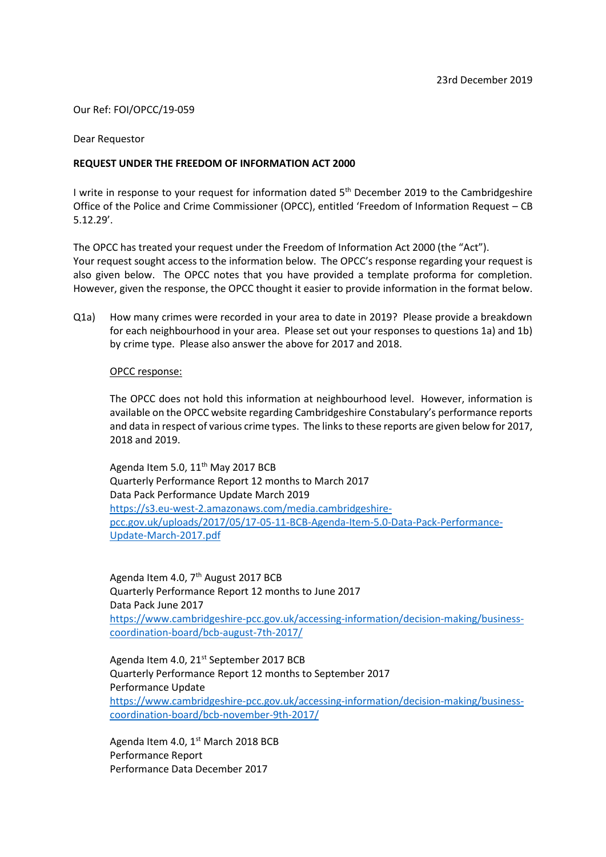# Our Ref: FOI/OPCC/19-059

### Dear Requestor

## **REQUEST UNDER THE FREEDOM OF INFORMATION ACT 2000**

I write in response to your request for information dated 5<sup>th</sup> December 2019 to the Cambridgeshire Office of the Police and Crime Commissioner (OPCC), entitled 'Freedom of Information Request – CB 5.12.29'.

The OPCC has treated your request under the Freedom of Information Act 2000 (the "Act"). Your request sought access to the information below. The OPCC's response regarding your request is also given below. The OPCC notes that you have provided a template proforma for completion. However, given the response, the OPCC thought it easier to provide information in the format below.

Q1a) How many crimes were recorded in your area to date in 2019? Please provide a breakdown for each neighbourhood in your area. Please set out your responses to questions 1a) and 1b) by crime type. Please also answer the above for 2017 and 2018.

### OPCC response:

The OPCC does not hold this information at neighbourhood level. However, information is available on the OPCC website regarding Cambridgeshire Constabulary's performance reports and data in respect of various crime types. The links to these reports are given below for 2017, 2018 and 2019.

Agenda Item 5.0, 11<sup>th</sup> May 2017 BCB Quarterly Performance Report 12 months to March 2017 Data Pack Performance Update March 2019 [https://s3.eu-west-2.amazonaws.com/media.cambridgeshire](https://s3.eu-west-2.amazonaws.com/media.cambridgeshire-pcc.gov.uk/uploads/2017/05/17-05-11-BCB-Agenda-Item-5.0-Data-Pack-Performance-Update-March-2017.pdf)[pcc.gov.uk/uploads/2017/05/17-05-11-BCB-Agenda-Item-5.0-Data-Pack-Performance-](https://s3.eu-west-2.amazonaws.com/media.cambridgeshire-pcc.gov.uk/uploads/2017/05/17-05-11-BCB-Agenda-Item-5.0-Data-Pack-Performance-Update-March-2017.pdf)[Update-March-2017.pdf](https://s3.eu-west-2.amazonaws.com/media.cambridgeshire-pcc.gov.uk/uploads/2017/05/17-05-11-BCB-Agenda-Item-5.0-Data-Pack-Performance-Update-March-2017.pdf)

Agenda Item 4.0, 7<sup>th</sup> August 2017 BCB Quarterly Performance Report 12 months to June 2017 Data Pack June 2017 [https://www.cambridgeshire-pcc.gov.uk/accessing-information/decision-making/business](https://www.cambridgeshire-pcc.gov.uk/accessing-information/decision-making/business-coordination-board/bcb-august-7th-2017/)[coordination-board/bcb-august-7th-2017/](https://www.cambridgeshire-pcc.gov.uk/accessing-information/decision-making/business-coordination-board/bcb-august-7th-2017/)

Agenda Item 4.0, 21<sup>st</sup> September 2017 BCB Quarterly Performance Report 12 months to September 2017 Performance Update [https://www.cambridgeshire-pcc.gov.uk/accessing-information/decision-making/business](https://www.cambridgeshire-pcc.gov.uk/accessing-information/decision-making/business-coordination-board/bcb-november-9th-2017/)[coordination-board/bcb-november-9th-2017/](https://www.cambridgeshire-pcc.gov.uk/accessing-information/decision-making/business-coordination-board/bcb-november-9th-2017/)

Agenda Item 4.0,  $1<sup>st</sup>$  March 2018 BCB Performance Report Performance Data December 2017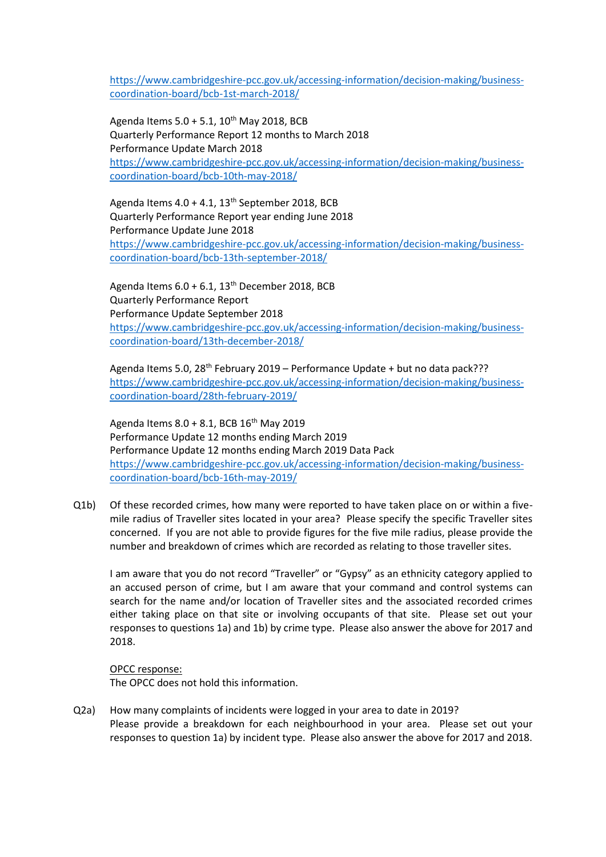[https://www.cambridgeshire-pcc.gov.uk/accessing-information/decision-making/business](https://www.cambridgeshire-pcc.gov.uk/accessing-information/decision-making/business-coordination-board/bcb-1st-march-2018/)[coordination-board/bcb-1st-march-2018/](https://www.cambridgeshire-pcc.gov.uk/accessing-information/decision-making/business-coordination-board/bcb-1st-march-2018/)

Agenda Items  $5.0 + 5.1$ ,  $10^{th}$  May 2018, BCB Quarterly Performance Report 12 months to March 2018 Performance Update March 2018 [https://www.cambridgeshire-pcc.gov.uk/accessing-information/decision-making/business](https://www.cambridgeshire-pcc.gov.uk/accessing-information/decision-making/business-coordination-board/bcb-10th-may-2018/)[coordination-board/bcb-10th-may-2018/](https://www.cambridgeshire-pcc.gov.uk/accessing-information/decision-making/business-coordination-board/bcb-10th-may-2018/)

Agenda Items  $4.0 + 4.1$ ,  $13<sup>th</sup>$  September 2018, BCB Quarterly Performance Report year ending June 2018 Performance Update June 2018 [https://www.cambridgeshire-pcc.gov.uk/accessing-information/decision-making/business](https://www.cambridgeshire-pcc.gov.uk/accessing-information/decision-making/business-coordination-board/bcb-13th-september-2018/)[coordination-board/bcb-13th-september-2018/](https://www.cambridgeshire-pcc.gov.uk/accessing-information/decision-making/business-coordination-board/bcb-13th-september-2018/)

Agenda Items  $6.0 + 6.1$ ,  $13<sup>th</sup>$  December 2018, BCB Quarterly Performance Report Performance Update September 2018 [https://www.cambridgeshire-pcc.gov.uk/accessing-information/decision-making/business](https://www.cambridgeshire-pcc.gov.uk/accessing-information/decision-making/business-coordination-board/13th-december-2018/)[coordination-board/13th-december-2018/](https://www.cambridgeshire-pcc.gov.uk/accessing-information/decision-making/business-coordination-board/13th-december-2018/)

Agenda Items 5.0, 28<sup>th</sup> February 2019 – Performance Update + but no data pack??? [https://www.cambridgeshire-pcc.gov.uk/accessing-information/decision-making/business](https://www.cambridgeshire-pcc.gov.uk/accessing-information/decision-making/business-coordination-board/28th-february-2019/)[coordination-board/28th-february-2019/](https://www.cambridgeshire-pcc.gov.uk/accessing-information/decision-making/business-coordination-board/28th-february-2019/)

Agenda Items  $8.0 + 8.1$ , BCB  $16^{th}$  May 2019 Performance Update 12 months ending March 2019 Performance Update 12 months ending March 2019 Data Pack [https://www.cambridgeshire-pcc.gov.uk/accessing-information/decision-making/business](https://www.cambridgeshire-pcc.gov.uk/accessing-information/decision-making/business-coordination-board/bcb-16th-may-2019/)[coordination-board/bcb-16th-may-2019/](https://www.cambridgeshire-pcc.gov.uk/accessing-information/decision-making/business-coordination-board/bcb-16th-may-2019/)

Q1b) Of these recorded crimes, how many were reported to have taken place on or within a fivemile radius of Traveller sites located in your area? Please specify the specific Traveller sites concerned. If you are not able to provide figures for the five mile radius, please provide the number and breakdown of crimes which are recorded as relating to those traveller sites.

I am aware that you do not record "Traveller" or "Gypsy" as an ethnicity category applied to an accused person of crime, but I am aware that your command and control systems can search for the name and/or location of Traveller sites and the associated recorded crimes either taking place on that site or involving occupants of that site. Please set out your responses to questions 1a) and 1b) by crime type. Please also answer the above for 2017 and 2018.

### OPCC response:

The OPCC does not hold this information.

Q2a) How many complaints of incidents were logged in your area to date in 2019? Please provide a breakdown for each neighbourhood in your area. Please set out your responses to question 1a) by incident type. Please also answer the above for 2017 and 2018.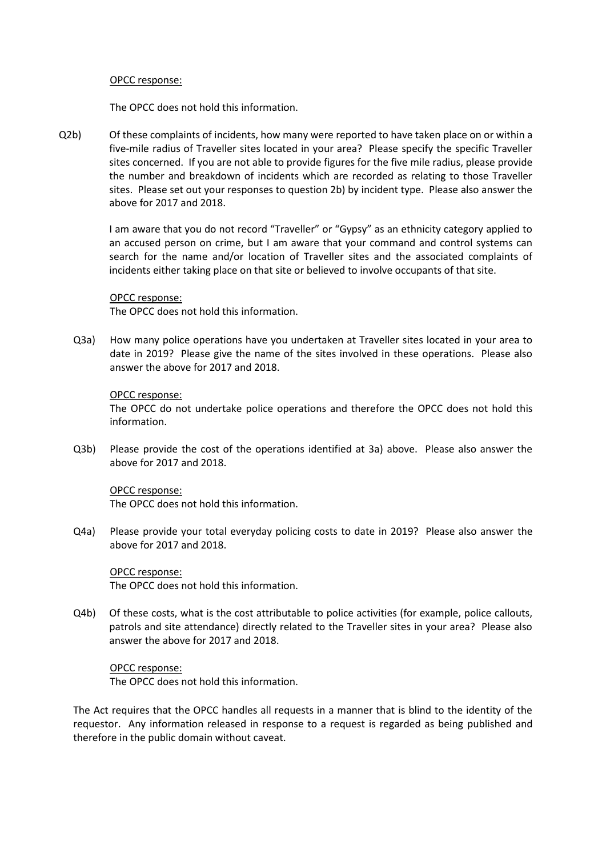### OPCC response:

The OPCC does not hold this information.

Q2b) Of these complaints of incidents, how many were reported to have taken place on or within a five-mile radius of Traveller sites located in your area? Please specify the specific Traveller sites concerned. If you are not able to provide figures for the five mile radius, please provide the number and breakdown of incidents which are recorded as relating to those Traveller sites. Please set out your responses to question 2b) by incident type. Please also answer the above for 2017 and 2018.

> I am aware that you do not record "Traveller" or "Gypsy" as an ethnicity category applied to an accused person on crime, but I am aware that your command and control systems can search for the name and/or location of Traveller sites and the associated complaints of incidents either taking place on that site or believed to involve occupants of that site.

# OPCC response:

The OPCC does not hold this information.

Q3a) How many police operations have you undertaken at Traveller sites located in your area to date in 2019? Please give the name of the sites involved in these operations. Please also answer the above for 2017 and 2018.

# OPCC response:

The OPCC do not undertake police operations and therefore the OPCC does not hold this information.

Q3b) Please provide the cost of the operations identified at 3a) above. Please also answer the above for 2017 and 2018.

### OPCC response:

The OPCC does not hold this information.

Q4a) Please provide your total everyday policing costs to date in 2019? Please also answer the above for 2017 and 2018.

OPCC response: The OPCC does not hold this information.

Q4b) Of these costs, what is the cost attributable to police activities (for example, police callouts, patrols and site attendance) directly related to the Traveller sites in your area? Please also answer the above for 2017 and 2018.

OPCC response: The OPCC does not hold this information.

The Act requires that the OPCC handles all requests in a manner that is blind to the identity of the requestor. Any information released in response to a request is regarded as being published and therefore in the public domain without caveat.